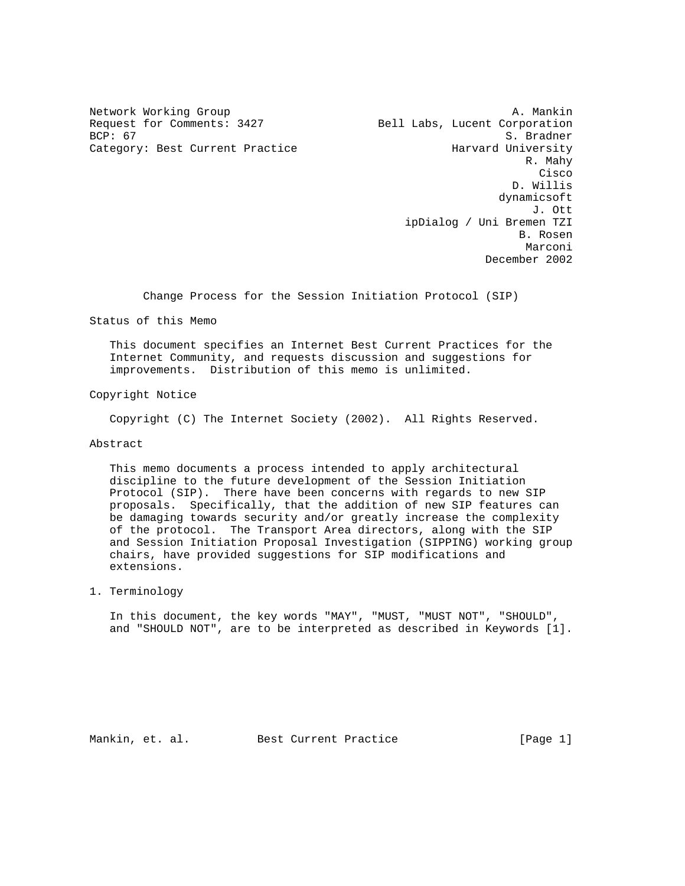Request for Comments: 3427 Bell Labs, Lucent Corporation<br>BCP: 67 S. Bradner

Network Working Group and A. Mankin A. Mankin S. Bradner Category: Best Current Practice The Harvard University R. Mahy **Cisco de la contrata de la contrata de la contrata de la contrata de la contrata de la contrata de la contrat**  D. Willis dynamicsoft J. Ott ipDialog / Uni Bremen TZI B. Rosen Marconi (1999) and the set of the set of the set of the set of the set of the set of the set of the set of the December 2002

Change Process for the Session Initiation Protocol (SIP)

Status of this Memo

 This document specifies an Internet Best Current Practices for the Internet Community, and requests discussion and suggestions for improvements. Distribution of this memo is unlimited.

Copyright Notice

Copyright (C) The Internet Society (2002). All Rights Reserved.

Abstract

 This memo documents a process intended to apply architectural discipline to the future development of the Session Initiation Protocol (SIP). There have been concerns with regards to new SIP proposals. Specifically, that the addition of new SIP features can be damaging towards security and/or greatly increase the complexity of the protocol. The Transport Area directors, along with the SIP and Session Initiation Proposal Investigation (SIPPING) working group chairs, have provided suggestions for SIP modifications and extensions.

1. Terminology

 In this document, the key words "MAY", "MUST, "MUST NOT", "SHOULD", and "SHOULD NOT", are to be interpreted as described in Keywords [1].

Mankin, et. al. Best Current Practice [Page 1]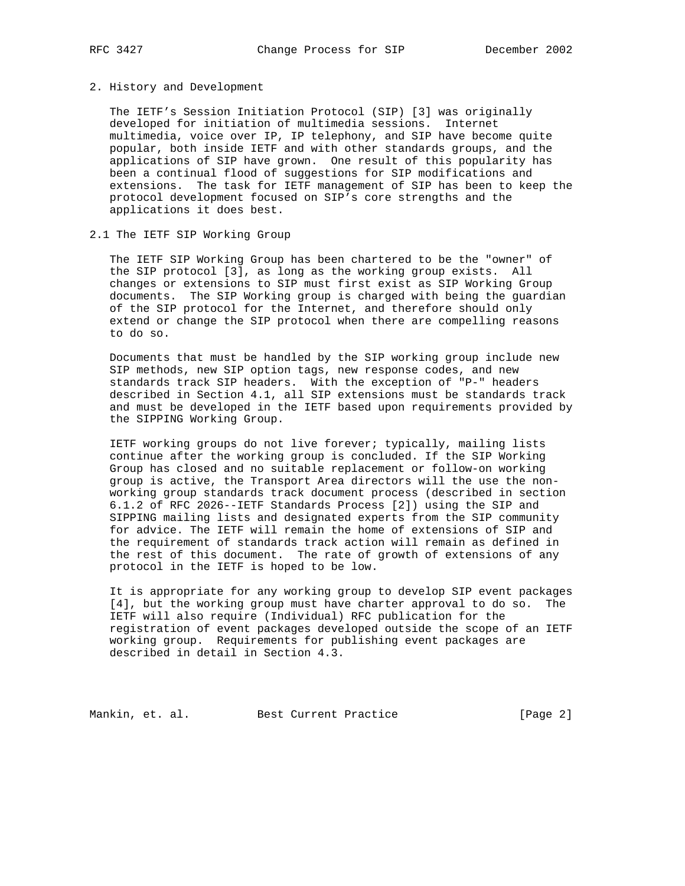#### 2. History and Development

 The IETF's Session Initiation Protocol (SIP) [3] was originally developed for initiation of multimedia sessions. Internet multimedia, voice over IP, IP telephony, and SIP have become quite popular, both inside IETF and with other standards groups, and the applications of SIP have grown. One result of this popularity has been a continual flood of suggestions for SIP modifications and extensions. The task for IETF management of SIP has been to keep the protocol development focused on SIP's core strengths and the applications it does best.

# 2.1 The IETF SIP Working Group

 The IETF SIP Working Group has been chartered to be the "owner" of the SIP protocol [3], as long as the working group exists. All changes or extensions to SIP must first exist as SIP Working Group documents. The SIP Working group is charged with being the guardian of the SIP protocol for the Internet, and therefore should only extend or change the SIP protocol when there are compelling reasons to do so.

 Documents that must be handled by the SIP working group include new SIP methods, new SIP option tags, new response codes, and new standards track SIP headers. With the exception of "P-" headers described in Section 4.1, all SIP extensions must be standards track and must be developed in the IETF based upon requirements provided by the SIPPING Working Group.

 IETF working groups do not live forever; typically, mailing lists continue after the working group is concluded. If the SIP Working Group has closed and no suitable replacement or follow-on working group is active, the Transport Area directors will the use the non working group standards track document process (described in section 6.1.2 of RFC 2026--IETF Standards Process [2]) using the SIP and SIPPING mailing lists and designated experts from the SIP community for advice. The IETF will remain the home of extensions of SIP and the requirement of standards track action will remain as defined in the rest of this document. The rate of growth of extensions of any protocol in the IETF is hoped to be low.

 It is appropriate for any working group to develop SIP event packages [4], but the working group must have charter approval to do so. The IETF will also require (Individual) RFC publication for the registration of event packages developed outside the scope of an IETF working group. Requirements for publishing event packages are described in detail in Section 4.3.

Mankin, et. al. Best Current Practice [Page 2]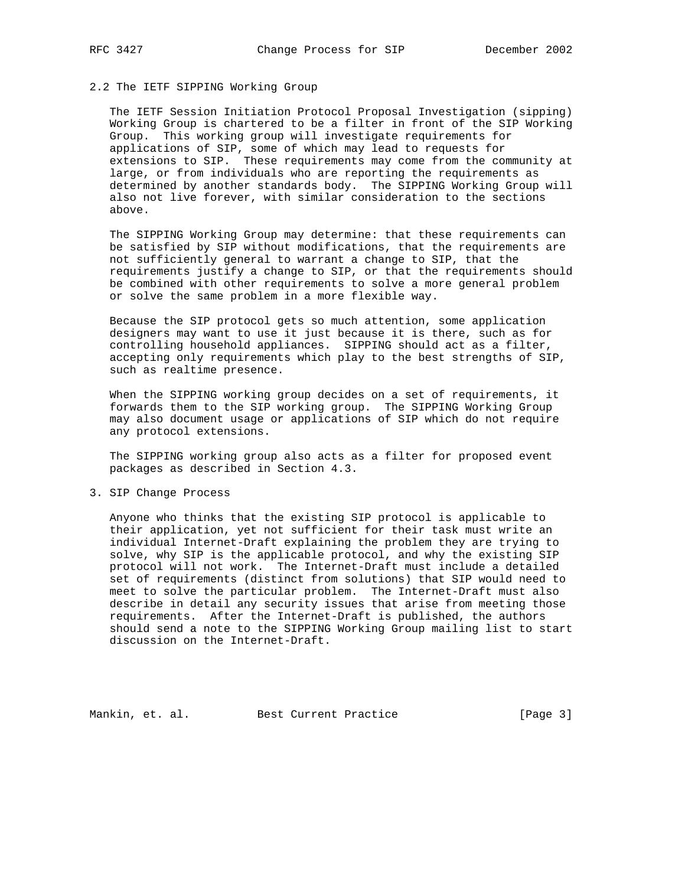# 2.2 The IETF SIPPING Working Group

 The IETF Session Initiation Protocol Proposal Investigation (sipping) Working Group is chartered to be a filter in front of the SIP Working Group. This working group will investigate requirements for applications of SIP, some of which may lead to requests for extensions to SIP. These requirements may come from the community at large, or from individuals who are reporting the requirements as determined by another standards body. The SIPPING Working Group will also not live forever, with similar consideration to the sections above.

 The SIPPING Working Group may determine: that these requirements can be satisfied by SIP without modifications, that the requirements are not sufficiently general to warrant a change to SIP, that the requirements justify a change to SIP, or that the requirements should be combined with other requirements to solve a more general problem or solve the same problem in a more flexible way.

 Because the SIP protocol gets so much attention, some application designers may want to use it just because it is there, such as for controlling household appliances. SIPPING should act as a filter, accepting only requirements which play to the best strengths of SIP, such as realtime presence.

 When the SIPPING working group decides on a set of requirements, it forwards them to the SIP working group. The SIPPING Working Group may also document usage or applications of SIP which do not require any protocol extensions.

 The SIPPING working group also acts as a filter for proposed event packages as described in Section 4.3.

#### 3. SIP Change Process

 Anyone who thinks that the existing SIP protocol is applicable to their application, yet not sufficient for their task must write an individual Internet-Draft explaining the problem they are trying to solve, why SIP is the applicable protocol, and why the existing SIP protocol will not work. The Internet-Draft must include a detailed set of requirements (distinct from solutions) that SIP would need to meet to solve the particular problem. The Internet-Draft must also describe in detail any security issues that arise from meeting those requirements. After the Internet-Draft is published, the authors should send a note to the SIPPING Working Group mailing list to start discussion on the Internet-Draft.

Mankin, et. al. Best Current Practice [Page 3]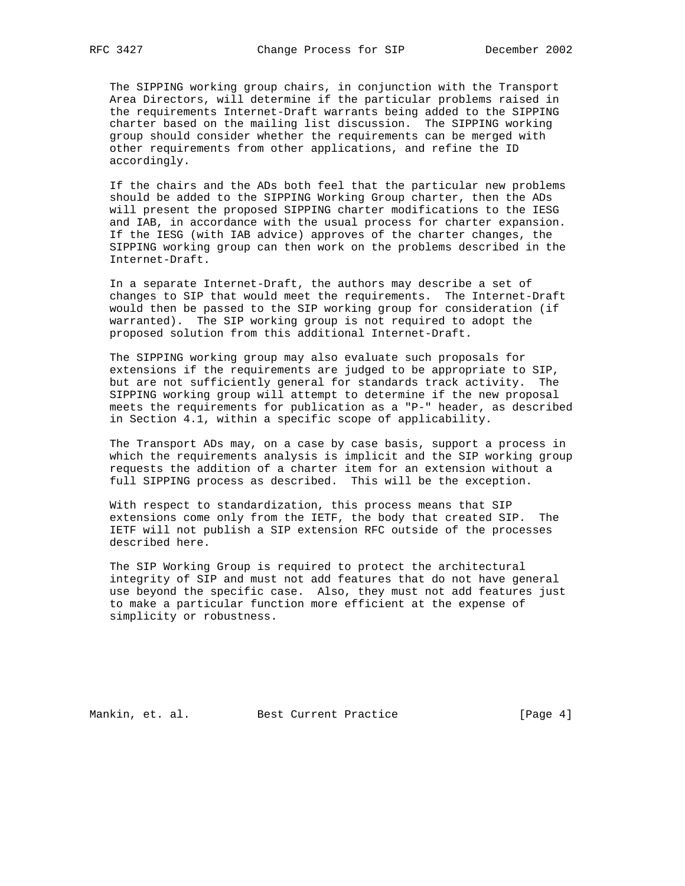The SIPPING working group chairs, in conjunction with the Transport Area Directors, will determine if the particular problems raised in the requirements Internet-Draft warrants being added to the SIPPING charter based on the mailing list discussion. The SIPPING working group should consider whether the requirements can be merged with other requirements from other applications, and refine the ID accordingly.

 If the chairs and the ADs both feel that the particular new problems should be added to the SIPPING Working Group charter, then the ADs will present the proposed SIPPING charter modifications to the IESG and IAB, in accordance with the usual process for charter expansion. If the IESG (with IAB advice) approves of the charter changes, the SIPPING working group can then work on the problems described in the Internet-Draft.

 In a separate Internet-Draft, the authors may describe a set of changes to SIP that would meet the requirements. The Internet-Draft would then be passed to the SIP working group for consideration (if warranted). The SIP working group is not required to adopt the proposed solution from this additional Internet-Draft.

 The SIPPING working group may also evaluate such proposals for extensions if the requirements are judged to be appropriate to SIP, but are not sufficiently general for standards track activity. The SIPPING working group will attempt to determine if the new proposal meets the requirements for publication as a "P-" header, as described in Section 4.1, within a specific scope of applicability.

 The Transport ADs may, on a case by case basis, support a process in which the requirements analysis is implicit and the SIP working group requests the addition of a charter item for an extension without a full SIPPING process as described. This will be the exception.

 With respect to standardization, this process means that SIP extensions come only from the IETF, the body that created SIP. The IETF will not publish a SIP extension RFC outside of the processes described here.

 The SIP Working Group is required to protect the architectural integrity of SIP and must not add features that do not have general use beyond the specific case. Also, they must not add features just to make a particular function more efficient at the expense of simplicity or robustness.

Mankin, et. al. Best Current Practice [Page 4]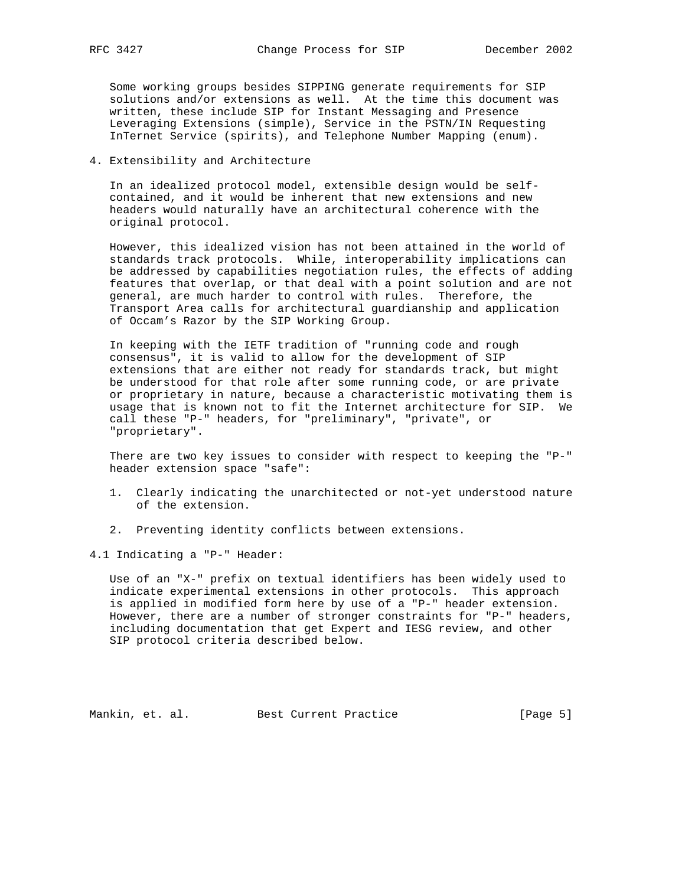Some working groups besides SIPPING generate requirements for SIP solutions and/or extensions as well. At the time this document was written, these include SIP for Instant Messaging and Presence Leveraging Extensions (simple), Service in the PSTN/IN Requesting InTernet Service (spirits), and Telephone Number Mapping (enum).

## 4. Extensibility and Architecture

 In an idealized protocol model, extensible design would be self contained, and it would be inherent that new extensions and new headers would naturally have an architectural coherence with the original protocol.

 However, this idealized vision has not been attained in the world of standards track protocols. While, interoperability implications can be addressed by capabilities negotiation rules, the effects of adding features that overlap, or that deal with a point solution and are not general, are much harder to control with rules. Therefore, the Transport Area calls for architectural guardianship and application of Occam's Razor by the SIP Working Group.

 In keeping with the IETF tradition of "running code and rough consensus", it is valid to allow for the development of SIP extensions that are either not ready for standards track, but might be understood for that role after some running code, or are private or proprietary in nature, because a characteristic motivating them is usage that is known not to fit the Internet architecture for SIP. We call these "P-" headers, for "preliminary", "private", or "proprietary".

 There are two key issues to consider with respect to keeping the "P-" header extension space "safe":

- 1. Clearly indicating the unarchitected or not-yet understood nature of the extension.
- 2. Preventing identity conflicts between extensions.

4.1 Indicating a "P-" Header:

 Use of an "X-" prefix on textual identifiers has been widely used to indicate experimental extensions in other protocols. This approach is applied in modified form here by use of a "P-" header extension. However, there are a number of stronger constraints for "P-" headers, including documentation that get Expert and IESG review, and other SIP protocol criteria described below.

Mankin, et. al. Best Current Practice [Page 5]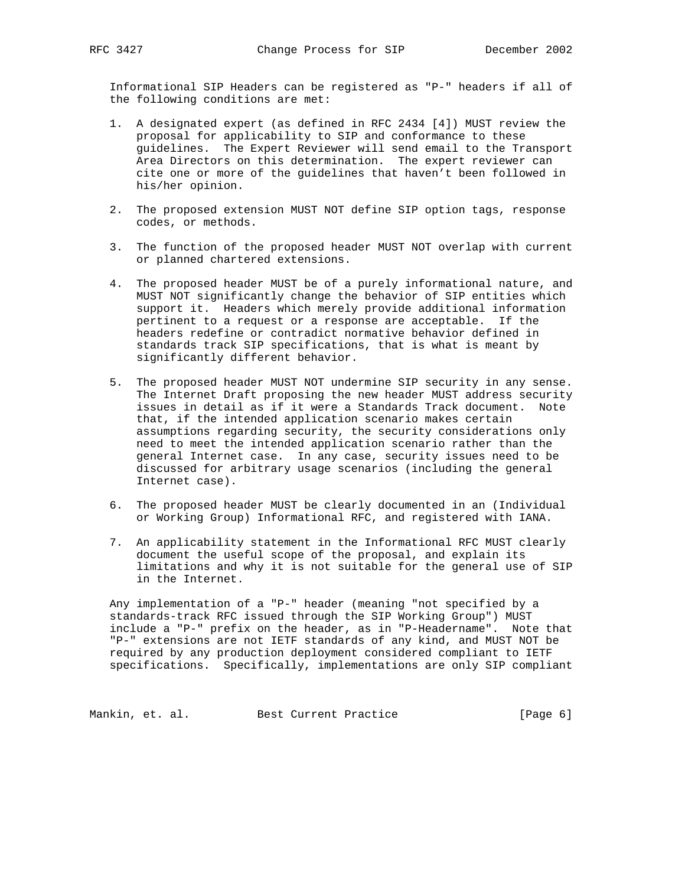Informational SIP Headers can be registered as "P-" headers if all of the following conditions are met:

- 1. A designated expert (as defined in RFC 2434 [4]) MUST review the proposal for applicability to SIP and conformance to these guidelines. The Expert Reviewer will send email to the Transport Area Directors on this determination. The expert reviewer can cite one or more of the guidelines that haven't been followed in his/her opinion.
- 2. The proposed extension MUST NOT define SIP option tags, response codes, or methods.
- 3. The function of the proposed header MUST NOT overlap with current or planned chartered extensions.
- 4. The proposed header MUST be of a purely informational nature, and MUST NOT significantly change the behavior of SIP entities which support it. Headers which merely provide additional information pertinent to a request or a response are acceptable. If the headers redefine or contradict normative behavior defined in standards track SIP specifications, that is what is meant by significantly different behavior.
- 5. The proposed header MUST NOT undermine SIP security in any sense. The Internet Draft proposing the new header MUST address security issues in detail as if it were a Standards Track document. Note that, if the intended application scenario makes certain assumptions regarding security, the security considerations only need to meet the intended application scenario rather than the general Internet case. In any case, security issues need to be discussed for arbitrary usage scenarios (including the general Internet case).
- 6. The proposed header MUST be clearly documented in an (Individual or Working Group) Informational RFC, and registered with IANA.
- 7. An applicability statement in the Informational RFC MUST clearly document the useful scope of the proposal, and explain its limitations and why it is not suitable for the general use of SIP in the Internet.

 Any implementation of a "P-" header (meaning "not specified by a standards-track RFC issued through the SIP Working Group") MUST include a "P-" prefix on the header, as in "P-Headername". Note that "P-" extensions are not IETF standards of any kind, and MUST NOT be required by any production deployment considered compliant to IETF specifications. Specifically, implementations are only SIP compliant

Mankin, et. al. Best Current Practice [Page 6]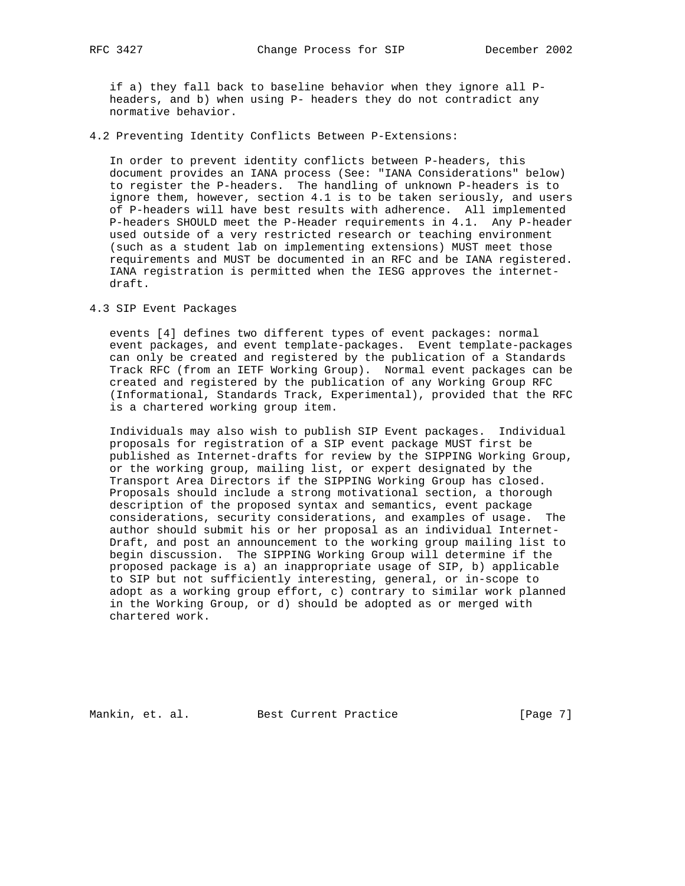if a) they fall back to baseline behavior when they ignore all P headers, and b) when using P- headers they do not contradict any normative behavior.

4.2 Preventing Identity Conflicts Between P-Extensions:

 In order to prevent identity conflicts between P-headers, this document provides an IANA process (See: "IANA Considerations" below) to register the P-headers. The handling of unknown P-headers is to ignore them, however, section 4.1 is to be taken seriously, and users of P-headers will have best results with adherence. All implemented P-headers SHOULD meet the P-Header requirements in 4.1. Any P-header used outside of a very restricted research or teaching environment (such as a student lab on implementing extensions) MUST meet those requirements and MUST be documented in an RFC and be IANA registered. IANA registration is permitted when the IESG approves the internet draft.

# 4.3 SIP Event Packages

 events [4] defines two different types of event packages: normal event packages, and event template-packages. Event template-packages can only be created and registered by the publication of a Standards Track RFC (from an IETF Working Group). Normal event packages can be created and registered by the publication of any Working Group RFC (Informational, Standards Track, Experimental), provided that the RFC is a chartered working group item.

 Individuals may also wish to publish SIP Event packages. Individual proposals for registration of a SIP event package MUST first be published as Internet-drafts for review by the SIPPING Working Group, or the working group, mailing list, or expert designated by the Transport Area Directors if the SIPPING Working Group has closed. Proposals should include a strong motivational section, a thorough description of the proposed syntax and semantics, event package considerations, security considerations, and examples of usage. The author should submit his or her proposal as an individual Internet- Draft, and post an announcement to the working group mailing list to begin discussion. The SIPPING Working Group will determine if the proposed package is a) an inappropriate usage of SIP, b) applicable to SIP but not sufficiently interesting, general, or in-scope to adopt as a working group effort, c) contrary to similar work planned in the Working Group, or d) should be adopted as or merged with chartered work.

Mankin, et. al. Best Current Practice [Page 7]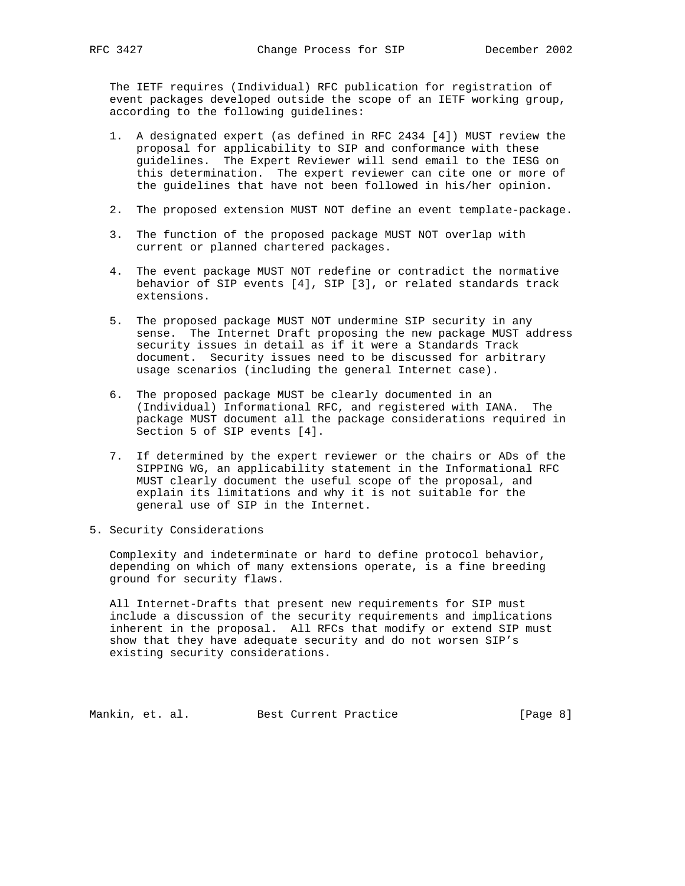The IETF requires (Individual) RFC publication for registration of event packages developed outside the scope of an IETF working group, according to the following guidelines:

- 1. A designated expert (as defined in RFC 2434 [4]) MUST review the proposal for applicability to SIP and conformance with these guidelines. The Expert Reviewer will send email to the IESG on this determination. The expert reviewer can cite one or more of the guidelines that have not been followed in his/her opinion.
- 2. The proposed extension MUST NOT define an event template-package.
- 3. The function of the proposed package MUST NOT overlap with current or planned chartered packages.
- 4. The event package MUST NOT redefine or contradict the normative behavior of SIP events [4], SIP [3], or related standards track extensions.
- 5. The proposed package MUST NOT undermine SIP security in any sense. The Internet Draft proposing the new package MUST address security issues in detail as if it were a Standards Track document. Security issues need to be discussed for arbitrary usage scenarios (including the general Internet case).
- 6. The proposed package MUST be clearly documented in an (Individual) Informational RFC, and registered with IANA. The package MUST document all the package considerations required in Section 5 of SIP events [4].
- 7. If determined by the expert reviewer or the chairs or ADs of the SIPPING WG, an applicability statement in the Informational RFC MUST clearly document the useful scope of the proposal, and explain its limitations and why it is not suitable for the general use of SIP in the Internet.
- 5. Security Considerations

 Complexity and indeterminate or hard to define protocol behavior, depending on which of many extensions operate, is a fine breeding ground for security flaws.

 All Internet-Drafts that present new requirements for SIP must include a discussion of the security requirements and implications inherent in the proposal. All RFCs that modify or extend SIP must show that they have adequate security and do not worsen SIP's existing security considerations.

Mankin, et. al. Best Current Practice [Page 8]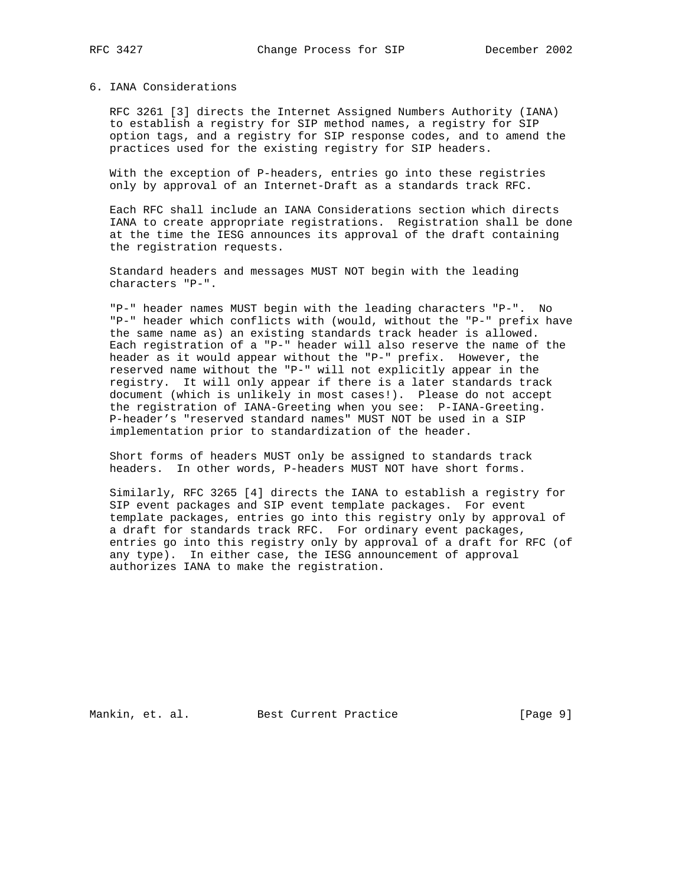#### 6. IANA Considerations

 RFC 3261 [3] directs the Internet Assigned Numbers Authority (IANA) to establish a registry for SIP method names, a registry for SIP option tags, and a registry for SIP response codes, and to amend the practices used for the existing registry for SIP headers.

 With the exception of P-headers, entries go into these registries only by approval of an Internet-Draft as a standards track RFC.

 Each RFC shall include an IANA Considerations section which directs IANA to create appropriate registrations. Registration shall be done at the time the IESG announces its approval of the draft containing the registration requests.

 Standard headers and messages MUST NOT begin with the leading characters "P-".

 "P-" header names MUST begin with the leading characters "P-". No "P-" header which conflicts with (would, without the "P-" prefix have the same name as) an existing standards track header is allowed. Each registration of a "P-" header will also reserve the name of the header as it would appear without the "P-" prefix. However, the reserved name without the "P-" will not explicitly appear in the registry. It will only appear if there is a later standards track document (which is unlikely in most cases!). Please do not accept the registration of IANA-Greeting when you see: P-IANA-Greeting. P-header's "reserved standard names" MUST NOT be used in a SIP implementation prior to standardization of the header.

 Short forms of headers MUST only be assigned to standards track headers. In other words, P-headers MUST NOT have short forms.

 Similarly, RFC 3265 [4] directs the IANA to establish a registry for SIP event packages and SIP event template packages. For event template packages, entries go into this registry only by approval of a draft for standards track RFC. For ordinary event packages, entries go into this registry only by approval of a draft for RFC (of any type). In either case, the IESG announcement of approval authorizes IANA to make the registration.

Mankin, et. al. Best Current Practice [Page 9]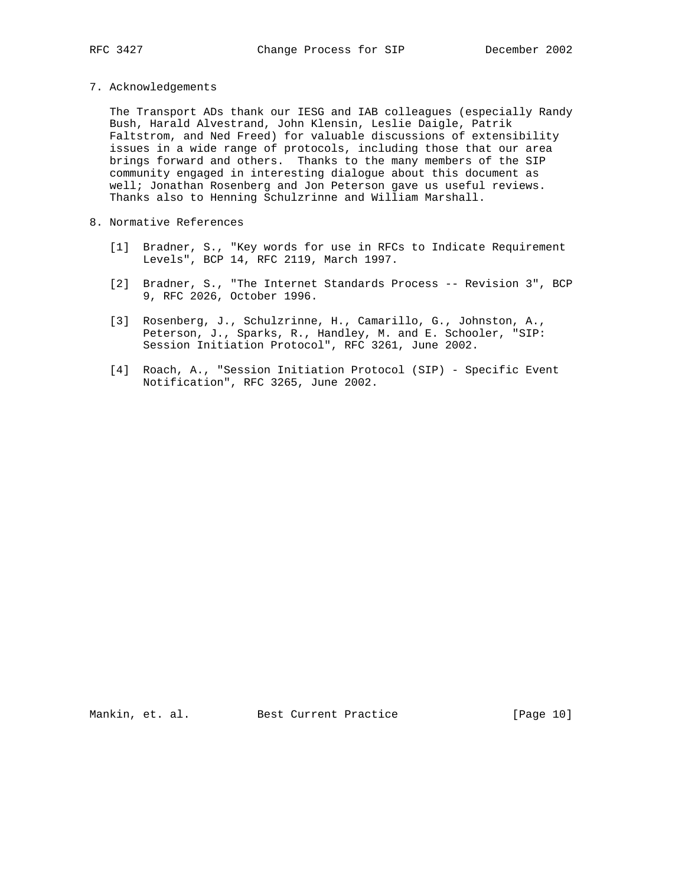- 
- 7. Acknowledgements

 The Transport ADs thank our IESG and IAB colleagues (especially Randy Bush, Harald Alvestrand, John Klensin, Leslie Daigle, Patrik Faltstrom, and Ned Freed) for valuable discussions of extensibility issues in a wide range of protocols, including those that our area brings forward and others. Thanks to the many members of the SIP community engaged in interesting dialogue about this document as well; Jonathan Rosenberg and Jon Peterson gave us useful reviews. Thanks also to Henning Schulzrinne and William Marshall.

- 8. Normative References
	- [1] Bradner, S., "Key words for use in RFCs to Indicate Requirement Levels", BCP 14, RFC 2119, March 1997.
	- [2] Bradner, S., "The Internet Standards Process -- Revision 3", BCP 9, RFC 2026, October 1996.
	- [3] Rosenberg, J., Schulzrinne, H., Camarillo, G., Johnston, A., Peterson, J., Sparks, R., Handley, M. and E. Schooler, "SIP: Session Initiation Protocol", RFC 3261, June 2002.
	- [4] Roach, A., "Session Initiation Protocol (SIP) Specific Event Notification", RFC 3265, June 2002.

Mankin, et. al. Best Current Practice [Page 10]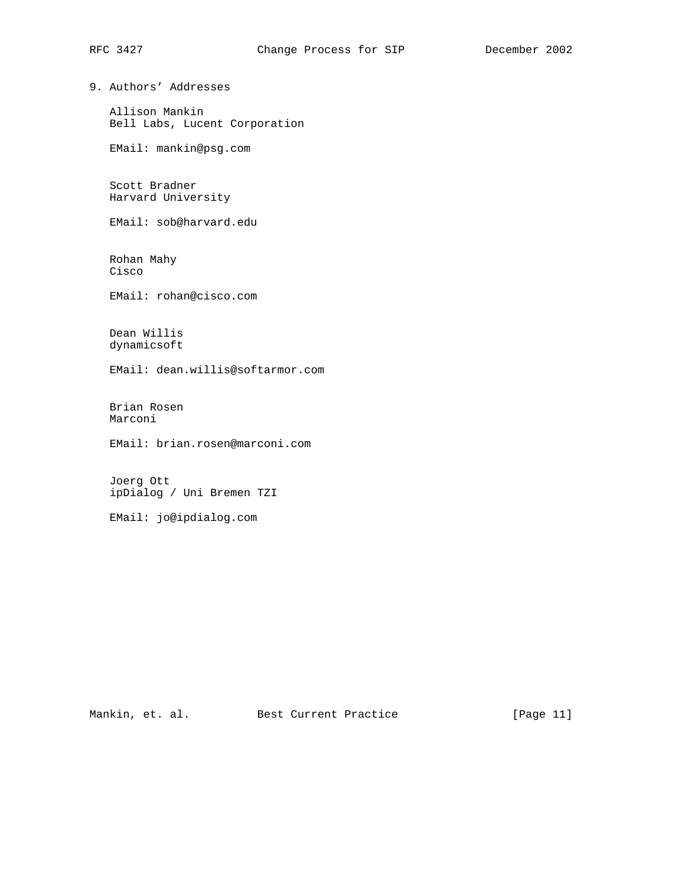9. Authors' Addresses

 Allison Mankin Bell Labs, Lucent Corporation

EMail: mankin@psg.com

 Scott Bradner Harvard University

EMail: sob@harvard.edu

 Rohan Mahy Cisco

EMail: rohan@cisco.com

 Dean Willis dynamicsoft

EMail: dean.willis@softarmor.com

 Brian Rosen Marconi

EMail: brian.rosen@marconi.com

 Joerg Ott ipDialog / Uni Bremen TZI

EMail: jo@ipdialog.com

Mankin, et. al. Best Current Practice [Page 11]